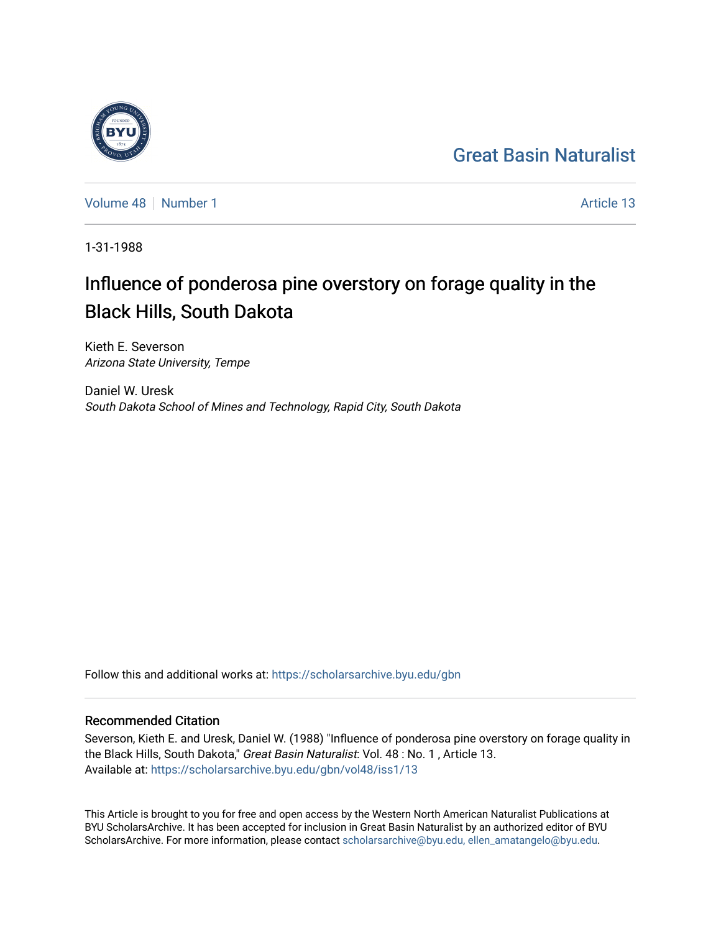## [Great Basin Naturalist](https://scholarsarchive.byu.edu/gbn)

[Volume 48](https://scholarsarchive.byu.edu/gbn/vol48) [Number 1](https://scholarsarchive.byu.edu/gbn/vol48/iss1) Article 13

1-31-1988

# Influence of ponderosa pine overstory on forage quality in the Black Hills, South Dakota

Kieth E. Severson Arizona State University, Tempe

Daniel W. Uresk South Dakota School of Mines and Technology, Rapid City, South Dakota

Follow this and additional works at: [https://scholarsarchive.byu.edu/gbn](https://scholarsarchive.byu.edu/gbn?utm_source=scholarsarchive.byu.edu%2Fgbn%2Fvol48%2Fiss1%2F13&utm_medium=PDF&utm_campaign=PDFCoverPages) 

### Recommended Citation

Severson, Kieth E. and Uresk, Daniel W. (1988) "Influence of ponderosa pine overstory on forage quality in the Black Hills, South Dakota," Great Basin Naturalist: Vol. 48 : No. 1, Article 13. Available at: [https://scholarsarchive.byu.edu/gbn/vol48/iss1/13](https://scholarsarchive.byu.edu/gbn/vol48/iss1/13?utm_source=scholarsarchive.byu.edu%2Fgbn%2Fvol48%2Fiss1%2F13&utm_medium=PDF&utm_campaign=PDFCoverPages) 

This Article is brought to you for free and open access by the Western North American Naturalist Publications at BYU ScholarsArchive. It has been accepted for inclusion in Great Basin Naturalist by an authorized editor of BYU ScholarsArchive. For more information, please contact [scholarsarchive@byu.edu, ellen\\_amatangelo@byu.edu.](mailto:scholarsarchive@byu.edu,%20ellen_amatangelo@byu.edu)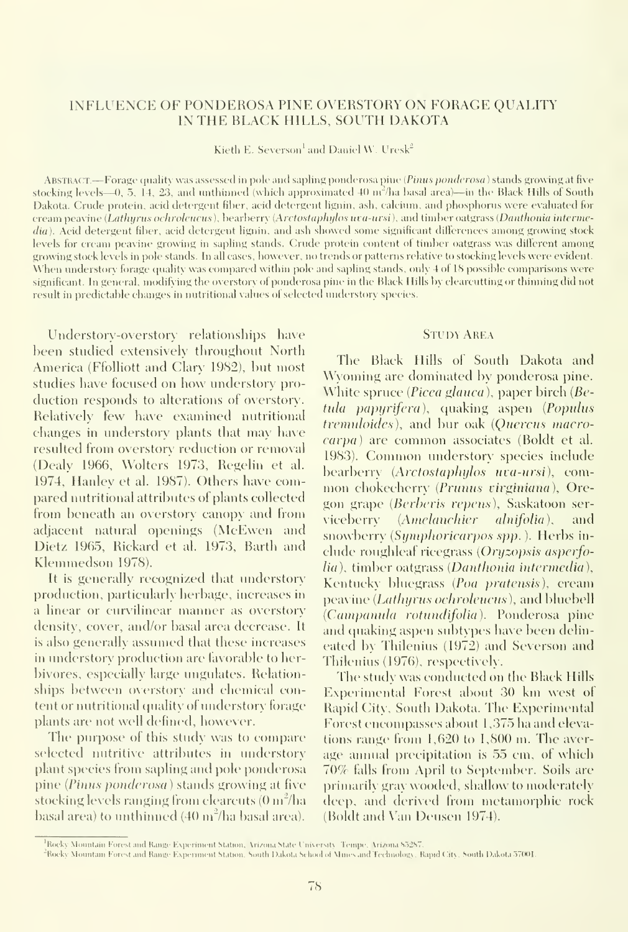#### INFLUENCE OF FONDEROSA PINE OVERSTORY ON FORAGE QUALITY IN THE BLACK HILLS, SOUTH DAKOTA

Kieth E. Severson<sup>1</sup> and Daniel W. Uresk<sup>2</sup>

ABSTRACT.—Forage quality was assessed in pole and sapling ponderosa pine (Pinus ponderosa) stands growing at five stocking levels—0, 5, 14, 23, and unthinned (which approximated 40  $m<sup>2</sup>/ha$  basal area)—in the Black Hills of South Dakota. Crude protein, acid detergent fiber, acid detergent lignin, ash, calcium, and phosphorus were evaluated for cream peavine (Lathyrus ochroleucus), bearberry (Arctostaphylos uva-ursi), and timber oatgrass (Danthonia intermedia). Acid detergent fiber, acid detergent lignin, and ash showed some significant differences among growing stock levels for cream peavine growing in sapling stands. Crude protein content of timber oatgrass was different among growing stock levels in pole stands. In all cases, however, no trends or patterns relative to stocking levels were evident. When understory forage quality was compared within pole and sapling stands, only 4 of 18 possible comparisons were significant. In general, modifying the overstory of ponderosa pine in the Black Hills by clearcutting or thinning did not result in predictable changes in nutritional values of selected understorx' species.

Understory-overstory relationships have been stndied extensively throughout North America (Ffolliott and Clary 1982), but most studies have focused on how imderstory pro duction responds to alterations of overstory. Relatively few have examined nutritional changes in imderstory plants that may have resulted from overstory reduction or removal (Dealy 1966, Wolters' 1973, Regelin et al. 1974, Hanley et al. 1987). Others have compared nutritional attributes of plants collected from beneath an overstory canopy and from adjacent natural openings (McEwen and Dietz 1965, Rickard et al. 1973, Earth and Klemmedson 1978).

It is generally recognized that imderstory production, particularly herbage, increases in a linear or curvilinear manner as overstory density, cover, and/or basal area decrease. It is also generally assumed that these increases in imderstory production are favorable to herbivores, especially large imgulates. Relationships between overstory and chemical content or nutritional quality of understory forage plants are not well defined, however.

The purpose of this study was to compare selected nutritive attributes in understory plant species from sapling and pole ponderosa pine {Pinus ponderosa) stands growing at five stocking levels ranging from clearcuts (0 m"/ha basal area) to unthinned  $(40 \text{ m}^2/\text{ha}$  basal area).

#### **STUDY AREA**

The Black Hills of South Dakota and Wyoming are dominated by ponderosa pine. White spruce (*Picea glauca*), paper birch ( $Be$ tula papyrifera), quaking aspen (Populus tremuloides), and bur oak (Quercus macrocarpa) are common associates (Boldt et al. 1983). Common understory species include bearberry (Arctostaphylos uva-ursi), common chokecherry (Prunus virginiana), Oregon grape (Berberis repens). Saskatoon serviceberry (Amelanchier alnifolia), and snowberry (Symphoricarpos spp.). Herbs include roughleaf ricegrass {Oryzopsis asperfolia), timber oatgrass (Danthonia intermedia), Kentucky bluegrass {Poa pratensis), cream peavine (Lathurus ochroleucus), and bluebell {Campanula rotundifolia). Ponderosa pine and quaking aspen subtypes have been delineated by Thilenius (1972) and Severson and Thilenius (1976), respectively.

The study was conducted on the Black Hills Experimental Forest about 30 km west of Rapid City, South Dakota. The Experimental Forest encompasses about 1,375 ha and elevations range from 1,620 to 1,800 m. The aver age annual precipitation is 55 cm, of which 70% falls from April to September. Soils arc primarily gray wooded, shallow to moderately deep, and derixcd from metamorphic rock (Boldt and Van Deusen 1974).

Rocky Mountain Forest and Range Experiment Station, Arizona State University. Tempe, Arizona 85287.

<sup>&</sup>quot;Rocky Mountain Forest and Range Experiment Station, South Dakota School of Mines and Technology, Rapid City, South Dakota 57001.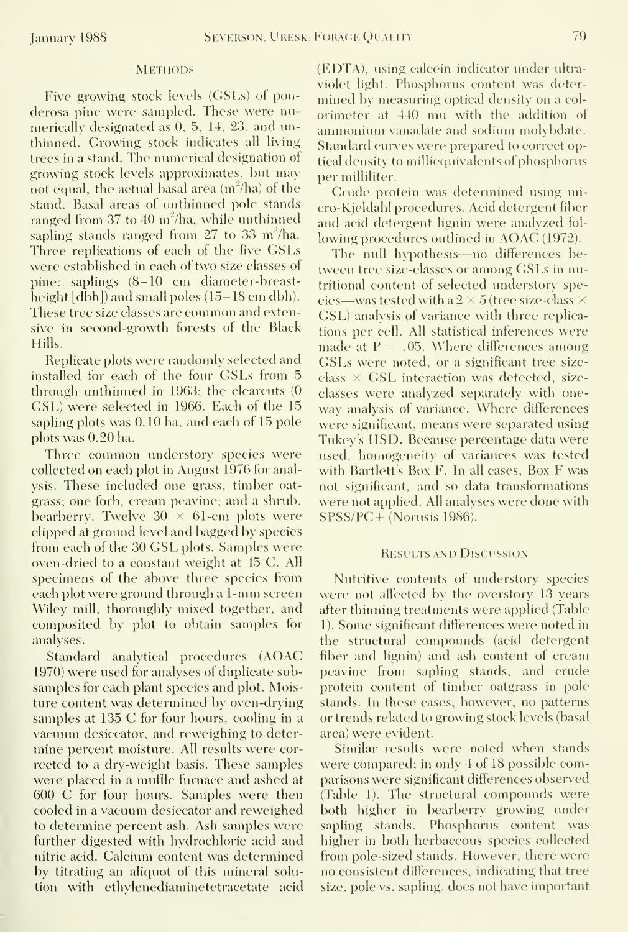#### **METHODS**

Five growing stock levels (GSLs) ot ponderosa pine were sampled. These were numerically designated as 0, 5, 14, 23, and unthinned. Growing stock indicates all living trees in a stand. The numerical designation of growing stock levels approximates, but may not equal, the actual basal area  $(m^2/ha)$  of the stand. Basal areas of unthinned pole stands ranged from 37 to 40 m<sup>2</sup>/ha, while unthinned sapling stands ranged from  $27$  to  $33$  m<sup>2</sup>/ha. Three replications of each of the five GSLs were established in each of two size classes of pine: saplings (8-10 cm diameter-breastheight [dbh]) and small poles (15–18 cm dbh). These tree size classes are common and extensive in second-growth forests of the Black Hills.

Replicate plots were randomly selected and installed for each of the four GSLs from 5 through unthinned in 1963; the clearcuts (0 GSL) were selected in 1966. Each of the 15 sapling plots was 0. 10 ha, and each of 15 pole plots was 0.20 ha.

Three common understory species were collected on each plot in August 1976 for analysis. These included one grass, timber oatgrass; one forb, cream peavine; and a shrub, bearberry. Twelve  $30 \times 61$ -cm plots were clipped at ground level and bagged by species from each of the 30 GSL plots. Samples were oven-dried to a constant weight at 45 C. All specimens of the above three species from each plot were ground through <sup>a</sup> 1-mm screen Wiley mill, thoroughly mixed together, and composited by plot to obtain samples for analyses.

Standard analytical procedures (AOAC 1970) were used for analyses of duplicate subsamples for each plant species and plot. Moisture content was determined by oven-drying samples at 135 C for four hours, cooling in a vacuum desiccator, and reweighing to determine percent moisture. All results were cor rected to a dry-weight basis. These samples were placed in a muffle furnace and ashed at 600 C for four hours. Samples were then cooled in a vacuum desiccator and reweighed to determine percent ash. Ash samples were further digested with hydrochloric acid and nitric acid. Calcium content was determined by titrating an aliquot of this mineral solution with ethvlenediaminetetracetate acid

(EDTA), using calcein indicator under ultra violet light. Phosphorus content was determined by measuring optical density on a col orimeter at 440 mu with the addition of ammonium vanadate and sodium molybdate. Standard curves were prepared to correct optical density to milliequivalents of phosphorus per milliliter.

Crude protein was determined using micro-Kjeldahl procedures. Acid detergent fiber and acid detergent lignin were analyzed fol lowing procedures outlined in AOAC (1972).

The null hypothesis—no differences between tree size-classes or among GSLs in nutritional content of selected understory species—was tested with a  $2 \times 5$  (tree size-class  $\times$ GSL) analysis of variance with three replications per cell. All statistical inferences were made at  $P = .05$ . Where differences among GSLs were noted, or <sup>a</sup> significant tree size class  $\times$  GSL interaction was detected, sizeclasses were analyzed separately with one way analysis of variance. Where differences were significant, means were separated using Tukey's HSD. Because percentage data were used, homogeneity of variances was tested with Bartlett's Box F. In all cases, Box F was not significant, and so data transformations were not applied. All analyses were done with  $SPSS/PC + (Norusis 1986).$ 

#### Results and Discussion

Nutritive contents of understory species were not affected by the overstory 13 years after thinning treatments were applied (Table 1). Some significant differences were noted in the structural compounds (acid detergent fiber and lignin) and ash content of cream peavine from sapling stands, and crude protein content of timber oatgrass in pole stands. In these cases, however, no patterns or trends related to growing stock levels (basal area) were evident.

Similar results were noted when stands were compared; in only 4 of 18 possible comparisons were significant differences observed (Table 1). The structural compounds were both higher in bearberry growing under sapling stands. Phosphorus content was higher in both herbaceous species collected from pole-sized stands. However, there were no consistent differences, indicating that tree size, pole vs. sapling, does not have important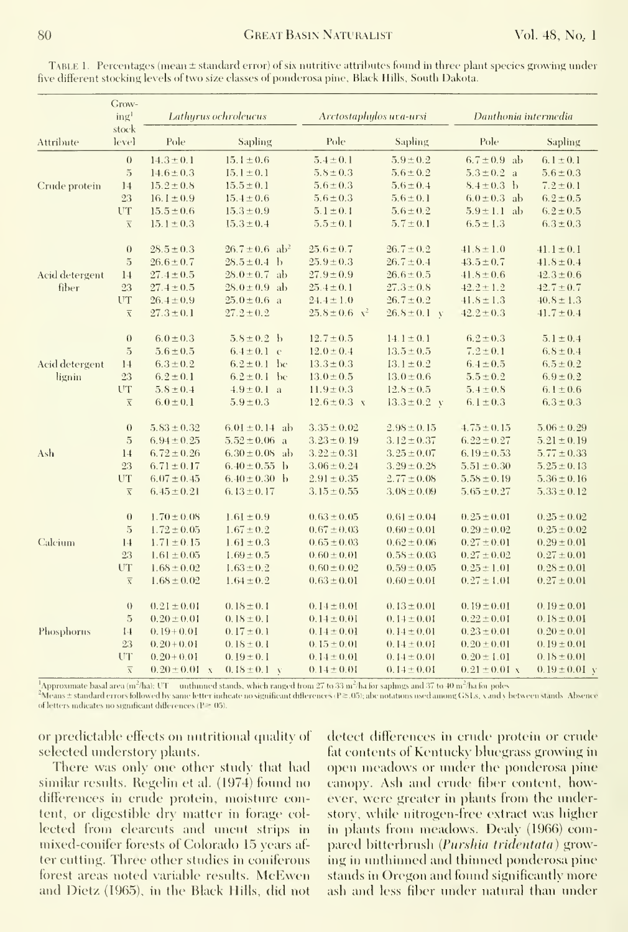|                          | Grow-<br>ing <sup>1</sup> | Lathyrus ochroleucus |                                | Arctostaphylos uva-ursi |                  | Danthonia intermedia |                   |
|--------------------------|---------------------------|----------------------|--------------------------------|-------------------------|------------------|----------------------|-------------------|
| Attribute                | stock<br>level            | Pole                 | Sapling                        | Pole                    | Sapling          | Pole                 | Sapling           |
|                          | $\theta$                  | $14.3 \pm 0.1$       | $15.1 \pm 0.6$                 | $5.4 \pm 0.1$           | $5.9 \pm 0.2$    | $6.7 \pm 0.9$ ab     | 6.1 $\pm$ 0.1     |
|                          | $\overline{5}$            | $14.6 \pm 0.3$       | $15.1 \pm 0.1$                 | $5.8 \pm 0.3$           | $5.6 \pm 0.2$    | $5.3 \pm 0.2$ a      | $5.6 \pm 0.3$     |
| Crude protein            | 14                        | $15.2 \pm 0.8$       | $15.5 \pm 0.1$                 | $5.6 \pm 0.3$           | $5.6 \pm 0.4$    | $8.4 \pm 0.3$ b      | $7.2 \pm 0.1$     |
|                          | 23                        | 16.1 $\pm$ 0.9       | $15.4 \pm 0.6$                 | $5.6 \pm 0.3$           | $5.6 \pm 0.1$    | $6.0 \pm 0.3$ ab     | $6.2 \pm 0.5$     |
|                          | UT                        | $15.5 \pm 0.6$       | $15.3 \pm 0.9$                 | $5.1 \pm 0.1$           | $5.6 \pm 0.2$    | $5.9 \pm 1.1$ ab     | $6.2 \pm 0.5$     |
|                          | $\overline{\mathbf{x}}$   | $15.1 \pm 0.3$       | $15.3 \pm 0.4$                 | $5.5 \pm 0.1$           | $5.7 \pm 0.1$    | $6.5 \pm 1.3$        | $6.3 \pm 0.3$     |
|                          | $\theta$                  | $28.5 \pm 0.3$       | $26.7 \pm 0.6$ ab <sup>2</sup> | $25.6 \pm 0.7$          | $26.7 \pm 0.2$   | $41.8 \pm 1.0$       | $41.1 \pm 0.1$    |
| Acid detergent<br>fiber  | $\overline{5}$            | $26.6 \pm 0.7$       | $28.5 \pm 0.4$ b               | $25.9 \pm 0.3$          | $26.7 \pm 0.4$   | $43.5 \pm 0.7$       | $41.8 \pm 0.4$    |
|                          | 14                        | $27.4 \pm 0.5$       | $28.0 \pm 0.7$ ab              | $27.9 \pm 0.9$          | $26.6 \pm 0.5$   | $41.8 \pm 0.6$       | $42.3 \pm 0.6$    |
|                          | 23                        | $27.4 \pm 0.5$       | $28.0 \pm 0.9$ ab              | $25.4 \pm 0.1$          | $27.3 \pm 0.8$   | $42.2 \pm 1.2$       | $42.7 \pm 0.7$    |
|                          | UT                        | $26.4 \pm 0.9$       | $25.0 \pm 0.6$ a               | $24.4 \pm 1.0$          | $26.7 \pm 0.2$   | $41.8 \pm 1.3$       | $40.8 \pm 1.3$    |
|                          | $\overline{\chi}$         | $27.3 \pm 0.1$       | $27.2 \pm 0.2$                 | $25.8 \pm 0.6$ $x^2$    | $26.8 \pm 0.1$ v | $42.2 \pm 0.3$       | $41.7 \pm 0.4$    |
| Acid detergent<br>lignin | $\theta$                  | $6.0 \pm 0.3$        | $5.8 \pm 0.2$ b                | $12.7 \pm 0.5$          | $14.1 \pm 0.1$   | $6.2 \pm 0.3$        | $5.1 \pm 0.4$     |
|                          | $\overline{5}$            | $5.6 \pm 0.5$        | $6.4 \pm 0.1$ c                | $12.0 \pm 0.4$          | $13.5 \pm 0.5$   | $7.2 \pm 0.1$        | $6.8 \pm 0.4$     |
|                          | 14                        | $6.3 \pm 0.2$        | $6.2 \pm 0.1$ be               | $13.3 \pm 0.3$          | $13.1 \pm 0.2$   | $6.4 \pm 0.5$        | $6.5 \pm 0.2$     |
|                          | 23                        | $6.2 \pm 0.1$        | $6.2 \pm 0.1$ be               | $13.0 \pm 0.5$          | $13.0 \pm 0.6$   | $5.5 \pm 0.2$        | $6.9 \pm 0.2$     |
|                          | UT                        | $5.8 \pm 0.4$        | $4.9 \pm 0.1$ a                | $11.9 \pm 0.3$          | $12.8 \pm 0.5$   | $5.4 \pm 0.8$        | 6.1 $\pm$ 0.6     |
|                          | $\overline{\mathbf{X}}$   | $6.0 \pm 0.1$        | $5.9 \pm 0.3$                  | $12.6 \pm 0.3$ x        | $13.3 \pm 0.2$ v | $6.1 \pm 0.3$        | $6.3 \pm 0.3$     |
|                          | $\theta$                  | $5.83 \pm 0.32$      | $6.01 \pm 0.14$ ab             | $3.35 \pm 0.02$         | $2.98 \pm 0.15$  | $4.75 \pm 0.15$      | $5.06 \pm 0.29$   |
| Ash                      | $\rm 5$                   | $6.94 \pm 0.25$      | $5.52 \pm 0.06$ a              | $3.23 \pm 0.19$         | $3.12 \pm 0.37$  | $6.22 \pm 0.27$      | $5.21 \pm 0.19$   |
|                          | 14                        | $6.72 \pm 0.26$      | $6.30 \pm 0.08$ ab             | $3.22 \pm 0.31$         | $3.25 \pm 0.07$  | $6.19 \pm 0.53$      | $5.77 \pm 0.33$   |
|                          | 23                        | $6.71 \pm 0.17$      | $6.40 \pm 0.55$ b              | $3.06 \pm 0.24$         | $3.29 \pm 0.28$  | $5.51 \pm 0.30$      | $5.25 \pm 0.13$   |
|                          | UT                        | $6.07 \pm 0.45$      | $6.40 \pm 0.30$ b              | $2.91 \pm 0.35$         | $2.77 \pm 0.08$  | $5.58 \pm 0.19$      | $5.36 \pm 0.16$   |
|                          | $\overline{x}$            | $6.45 \pm 0.21$      | 6.13 $\pm$ 0.17                | $3.15 \pm 0.55$         | $3.08 \pm 0.09$  | $5.65 \pm 0.27$      | $5.33 \pm 0.12$   |
| Calcium                  | $\theta$                  | $1.70 \pm 0.08$      | $1.61 \pm 0.9$                 | $0.63 \pm 0.05$         | $0.61 \pm 0.04$  | $0.25 \pm 0.01$      | $0.25 \pm 0.02$   |
|                          | $\rm 5$                   | $1.72 \pm 0.05$      | $1.67 \pm 0.2$                 | $0.67 \pm 0.03$         | $0.60 \pm 0.01$  | $0.29 \pm 0.02$      | $0.25 \pm 0.02$   |
|                          | 14                        | $1.71 \pm 0.15$      | $1.61 \pm 0.3$                 | $0.65 \pm 0.03$         | $0.62 \pm 0.06$  | $0.27 \pm 0.01$      | $0.29 \pm 0.01$   |
|                          | 23                        | $1.61 \pm 0.05$      | $1.69 \pm 0.5$                 | $0.60 \pm 0.01$         | $0.58 \pm 0.03$  | $0.27 \pm 0.02$      | $0.27 \pm 0.01$   |
|                          | UT                        | $1.68 \pm 0.02$      | $1.63 \pm 0.2$                 | $0.60 \pm 0.02$         | $0.59 \pm 0.05$  | $0.25 \pm 1.01$      | $0.28 \pm 0.01$   |
|                          | $\overline{\mathbf{X}}$   | $1.68 \pm 0.02$      | $1.64 \pm 0.2$                 | $0.63 \pm 0.01$         | $0.60 \pm 0.01$  | $0.27 \pm 1.01$      | $0.27 \pm 0.01$   |
| Phosphorns               | $\theta$                  | $0.21 \pm 0.01$      | $0.18 \pm 0.1$                 | $0.14 \pm 0.01$         | $0.13 \pm 0.01$  | $0.19 \pm 0.01$      | $0.19 \pm 0.01$   |
|                          | $\overline{5}$            | $0.20 \pm 0.01$      | $0.18 \pm 0.1$                 | $0.14 \pm 0.01$         | $0.14 \pm 0.01$  | $0.22 \pm 0.01$      | $0.18 \pm 0.01$   |
|                          | 14                        | $0.19+0.01$          | $0.17 \pm 0.1$                 | $0.14 \pm 0.01$         | $0.14 \pm 0.01$  | $0.23 \pm 0.01$      | $0.20 \pm 0.01$   |
|                          | 23                        | $0.20 + 0.01$        | $0.18 \pm 0.1$                 | $0.15 \pm 0.01$         | $0.14 \pm 0.01$  | $0.20 \pm 0.01$      | $0.19 \pm 0.01$   |
|                          | UT                        | $0.20 + 0.01$        | $0.19 \pm 0.1$                 | $0.14 \pm 0.01$         | $0.14 \pm 0.01$  | $0.20 \pm 1.01$      | $0.18 \pm 0.01$   |
|                          | $\overline{x}$            | $0.20 \pm 0.01$ x    | $0.18 \pm 0.1$ v               | $0.14 \pm 0.01$         | $0.14 \pm 0.01$  | $0.21 \pm 0.01$ x    | $0.19 \pm 0.01$ v |

TABLE 1. Percentages (mean  $\pm$  standard error) of six nutritive attributes found in three plant species growing under five different stocking levels of two size classes of ponderosa pine. Black Hills, South Dakota.

<sup>1</sup>Approximate basal area (m<sup>2</sup>/hal; UT = unthinned stands, which ranged from  $27$  to 33 m<sup>2</sup>/ha for saphigs and 37 to 40 m<sup>2</sup>/ha for poles<br><sup>2</sup>Means ± standard errors followed by same letter indicate no significant differ of letters indicates no significant differences ( $P \ge 05$ ).

or predictable effects on nutritional quality of selected understory plants.

There was only one other study that had similar results. Regelin et al. (1974) found no differences in crude protein, moisture content, or digestible dry matter in forage collected from clearcuts and uncut strips in mixed-conifer forests of Colorado 15 years after cutting. Three other studies in coniferous forest areas noted variable results. McEwen and Dietz (1965), in the Black Hills, did not detect differences in crude protein or crude fat contents of Kentucky bluegrass growing in open meadows or under the ponderosa pine canopy. Ash and crude fiber content, however, were greater in plants from the understory, while nitrogen-free extract was higher in plants from meadows. Dealy (1966) compared bitterbrush (Purshia tridentata) growing in unthinned and thinned ponderosa pine stands in Oregon and found significantly more ash and less fiber under natural than under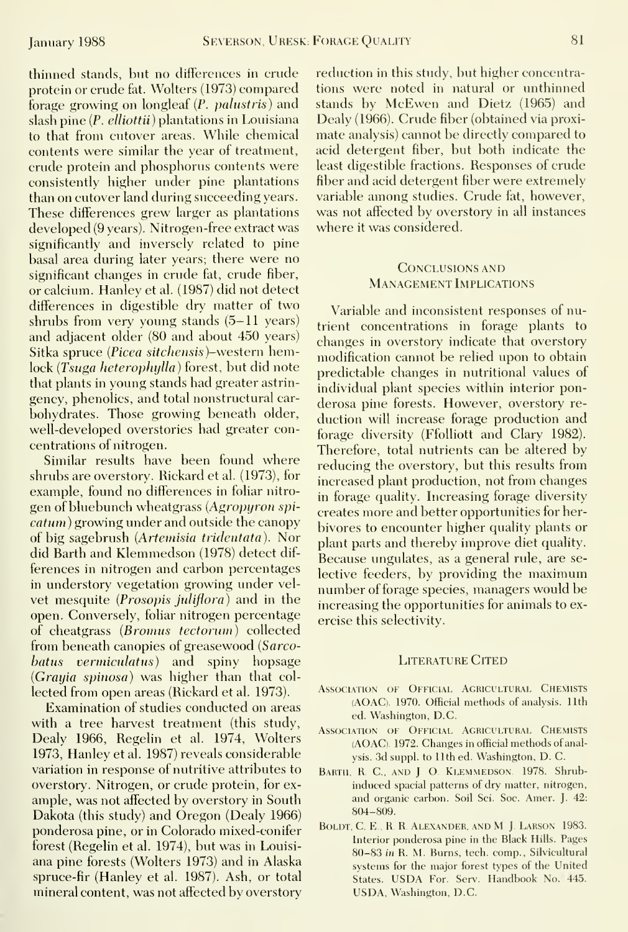thinned stands, but no differences in crude protein or crude fat. Wolters (1973) compared forage growing on longleaf (P. palustris) and slash pine  $(P.$  elliottii) plantations in Louisiana to that from cutover areas. While chemical contents were similar the year of treatment, crude protein and phosphorus contents were consistently higher under pine plantations than on cutover land during succeeding years. These differences grew larger as plantations developed (9 years). Nitrogen-free extract was significantly and inversely related to pine basal area during later years; there were no significant changes in crude fat, crude fiber, or calcium. Hanley et al. (1987) did not detect differences in digestible dry matter of two shrubs from very young stands (5-11 years) and adjacent older (80 and about 450 years) Sitka spruce (Picea sitchensis)-western hemlock (Tsuga heterophylla) forest, but did note that plants in young stands had greater astrin gency, phenolics, and total nonstructural car bohydrates. Those growing beneath older, well-developed overstories had greater concentrations of nitrogen.

Similar results have been found where shrubs are overstory. Rickard et al. (1973), for example, found no differences in foliar nitro gen of bluebunch wheatgrass {Agropyron spicatum) growing under and outside the canopy of big sagebrush (Artemisia tridentata). Nor did Earth and Klemmedson (1978) detect dif ferences in nitrogen and carbon percentages in understory vegetation growing under vel vet mesquite (Prosopis juliflora) and in the open. Conversely, foliar nitrogen percentage of cheatgrass {Bromus tectorum) collected from beneath canopies of greasewood (Sarcobatus vermiculatus) and spiny hopsage (Grayia spinosa) was higher than that col lected from open areas (Rickard et al. 1973).

Examination of studies conducted on areas with a tree harvest treatment (this study, Dealy 1966, Regelin et al. 1974, Wolters 1973, Hanley et al. 1987) reveals considerable variation in response of nutritive attributes to overstory. Nitrogen, or crude protein, for ex ample, was not affected by overstory in South Dakota (this study) and Oregon (Dealy 1966) ponderosa pine, or in Colorado mixed-conifer forest (Regelin et al. 1974), but was in Louisi ana pine forests (Wolters 1973) and in Alaska spruce-fir (Hanley et al. 1987). Ash, or total mineral content, was not affected by overstory

reduction in this study, but higher concentrations were noted in natural or unthinned stands by McEwen and Dietz (1965) and Dealy (1966). Crude fiber (obtained via proximate analysis) cannot be directly compared to acid detergent fiber, but both indicate the least digestible fractions. Responses of crude fiber and acid detergent fiber were extremely variable among studies. Crude fat, however, was not affected by overstory in all instances where it was considered.

#### Conclusions AND Management Implications

Variable and inconsistent responses of nutrient concentrations in forage plants to changes in overstory indicate that overstory modification cannot be relied upon to obtain predictable changes in nutritional values of individual plant species within interior ponderosa pine forests. However, overstory re duction will increase forage production and forage diversity (Ffolliott and Clary 1982). Therefore, total nutrients can be altered by reducing the overstory, but this results from increased plant production, not from changes in forage quality. Increasing forage diversity creates more and better opportunities for herbivores to encounter higher quality plants or plant parts and thereby improve diet quality. Because ungulates, as a general rule, are se lective feeders, by providing the maximum number of forage species, managers would be increasing the opportunities for animals to exercise this selectivity.

#### LITERATURE CITED

- Association of Official Agricultural Chemists (AGAC). 1970. Official methods of analysis. 11th ed. Washington, D.C.
- Association of Official Agricultural Chemists (AOAC). 1972. Changes in official methods of analysis. 3d suppl. to 11th ed. Washington, D. C.
- BARTH, R. C., AND J. O. KLEMMEDSON. 1978. Shrubinduced spacial patterns of dry matter, nitrogen, and organic carbon. Soil Sci. Soc. Amer. J. 42: 804-809.
- BOLDT, C. E., R. R. ALEXANDER, AND M J. LARSON 1983. Interior ponderosa pine in the Black Hills. Pages 80-83 in R. M. Burns, tech. comp., Silvicultural systems for the major forest types of the United States. USDA For. Serv. Handbook No. 445. USDA, Washington, D.C.